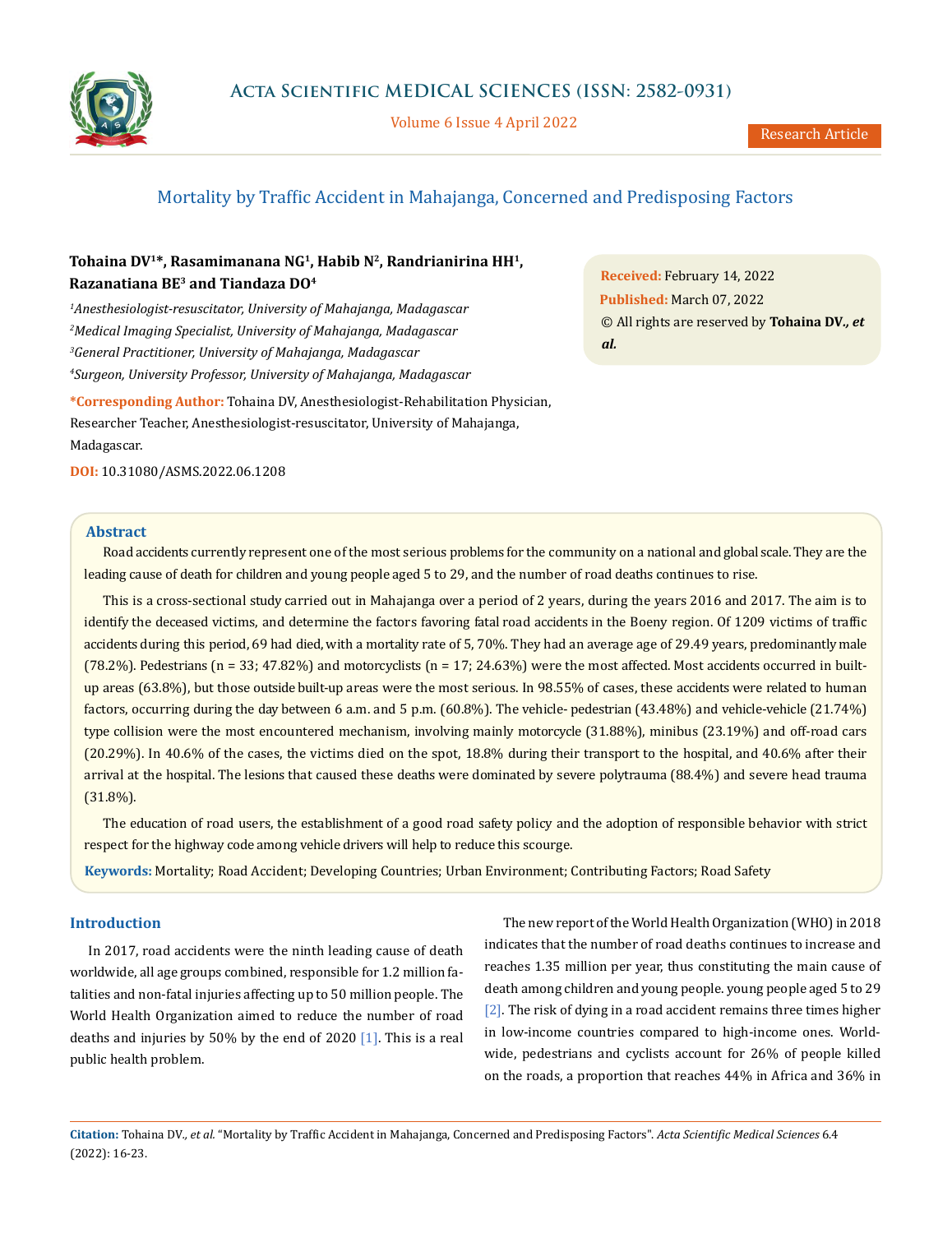

Volume 6 Issue 4 April 2022

# Mortality by Traffic Accident in Mahajanga, Concerned and Predisposing Factors

# **Tohaina DV1\*, Rasamimanana NG1, Habib N2, Randrianirina HH1, Razanatiana BE3 and Tiandaza DO4**

 *Anesthesiologist-resuscitator, University of Mahajanga, Madagascar Medical Imaging Specialist, University of Mahajanga, Madagascar General Practitioner, University of Mahajanga, Madagascar Surgeon, University Professor, University of Mahajanga, Madagascar*

**\*Corresponding Author:** Tohaina DV, Anesthesiologist-Rehabilitation Physician, Researcher Teacher, Anesthesiologist-resuscitator, University of Mahajanga, Madagascar.

**DOI:** [10.31080/ASMS.2022.06.1208](http://actascientific.com/ASMS/pdf/ASMS-06-1208.pdf)

**Abstract**

Road accidents currently represent one of the most serious problems for the community on a national and global scale. They are the leading cause of death for children and young people aged 5 to 29, and the number of road deaths continues to rise.

This is a cross-sectional study carried out in Mahajanga over a period of 2 years, during the years 2016 and 2017. The aim is to identify the deceased victims, and determine the factors favoring fatal road accidents in the Boeny region. Of 1209 victims of traffic accidents during this period, 69 had died, with a mortality rate of 5, 70%. They had an average age of 29.49 years, predominantly male (78.2%). Pedestrians ( $n = 33$ ; 47.82%) and motorcyclists ( $n = 17$ ; 24.63%) were the most affected. Most accidents occurred in builtup areas (63.8%), but those outside built-up areas were the most serious. In 98.55% of cases, these accidents were related to human factors, occurring during the day between 6 a.m. and 5 p.m. (60.8%). The vehicle- pedestrian (43.48%) and vehicle-vehicle (21.74%) type collision were the most encountered mechanism, involving mainly motorcycle (31.88%), minibus (23.19%) and off-road cars (20.29%). In 40.6% of the cases, the victims died on the spot, 18.8% during their transport to the hospital, and 40.6% after their arrival at the hospital. The lesions that caused these deaths were dominated by severe polytrauma (88.4%) and severe head trauma (31.8%).

The education of road users, the establishment of a good road safety policy and the adoption of responsible behavior with strict respect for the highway code among vehicle drivers will help to reduce this scourge.

**Keywords:** Mortality; Road Accident; Developing Countries; Urban Environment; Contributing Factors; Road Safety

# **Introduction**

In 2017, road accidents were the ninth leading cause of death worldwide, all age groups combined, responsible for 1.2 million fatalities and non-fatal injuries affecting up to 50 million people. The World Health Organization aimed to reduce the number of road deaths and injuries by 50% by the end of 2020  $[1]$ . This is a real public health problem.

The new report of the World Health Organization (WHO) in 2018 indicates that the number of road deaths continues to increase and reaches 1.35 million per year, thus constituting the main cause of death among children and young people. young people aged 5 to 29 [2]. The risk of dying in a road accident remains three times higher in low-income countries compared to high-income ones. Worldwide, pedestrians and cyclists account for 26% of people killed on the roads, a proportion that reaches 44% in Africa and 36% in

**Citation:** Tohaina DV*., et al.* "Mortality by Traffic Accident in Mahajanga, Concerned and Predisposing Factors". *Acta Scientific Medical Sciences* 6.4 (2022): 16-23.

**Received:** February 14, 2022 **Published:** March 07, 2022 © All rights are reserved by **Tohaina DV***., et al.*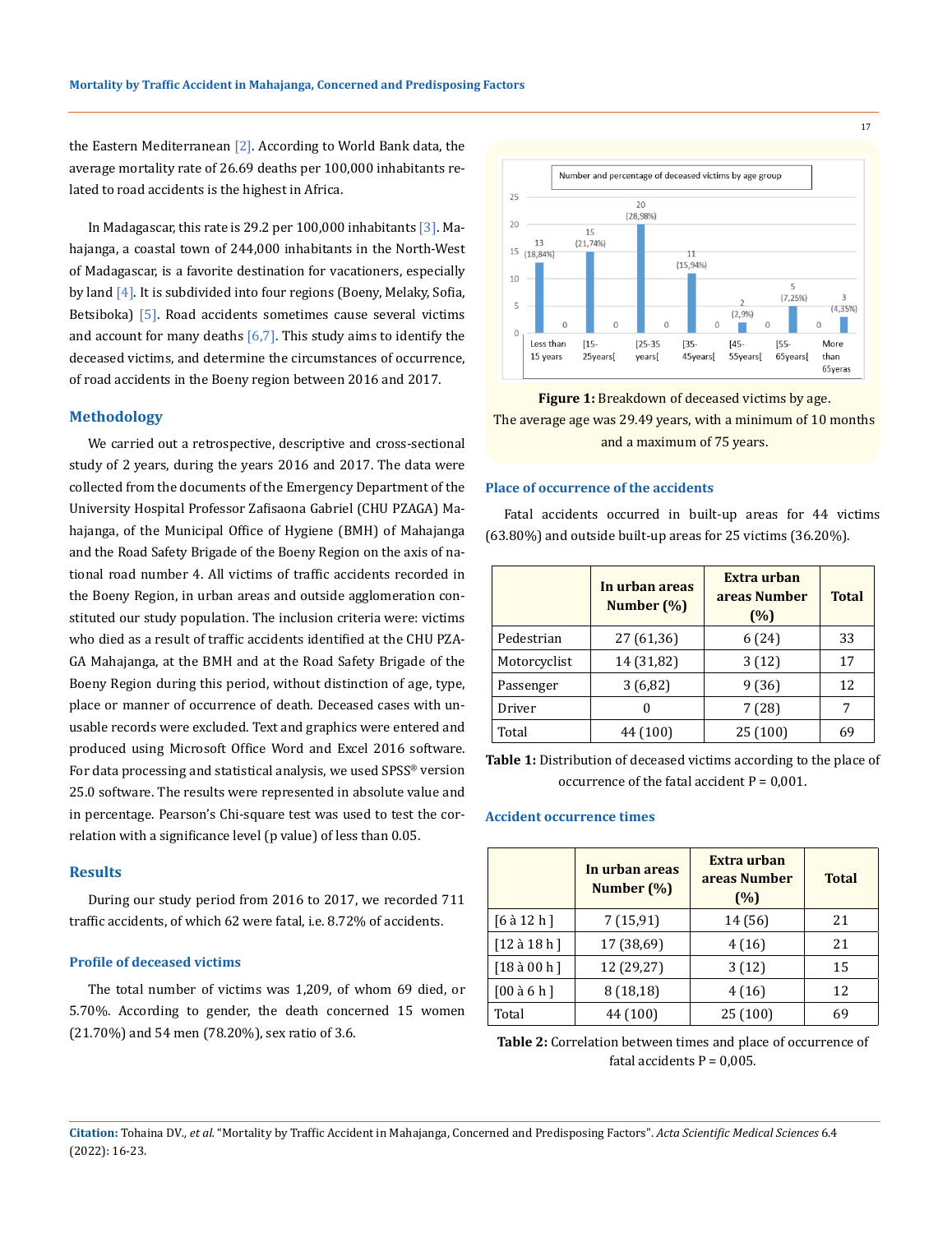the Eastern Mediterranean [2]. According to World Bank data, the average mortality rate of 26.69 deaths per 100,000 inhabitants related to road accidents is the highest in Africa.

In Madagascar, this rate is 29.2 per 100,000 inhabitants [3]. Mahajanga, a coastal town of 244,000 inhabitants in the North-West of Madagascar, is a favorite destination for vacationers, especially by land  $[4]$ . It is subdivided into four regions (Boeny, Melaky, Sofia, Betsiboka) [5]. Road accidents sometimes cause several victims and account for many deaths  $[6,7]$ . This study aims to identify the deceased victims, and determine the circumstances of occurrence, of road accidents in the Boeny region between 2016 and 2017.

#### **Methodology**

We carried out a retrospective, descriptive and cross-sectional study of 2 years, during the years 2016 and 2017. The data were collected from the documents of the Emergency Department of the University Hospital Professor Zafisaona Gabriel (CHU PZAGA) Mahajanga, of the Municipal Office of Hygiene (BMH) of Mahajanga and the Road Safety Brigade of the Boeny Region on the axis of national road number 4. All victims of traffic accidents recorded in the Boeny Region, in urban areas and outside agglomeration constituted our study population. The inclusion criteria were: victims who died as a result of traffic accidents identified at the CHU PZA-GA Mahajanga, at the BMH and at the Road Safety Brigade of the Boeny Region during this period, without distinction of age, type, place or manner of occurrence of death. Deceased cases with unusable records were excluded. Text and graphics were entered and produced using Microsoft Office Word and Excel 2016 software. For data processing and statistical analysis, we used SPSS® version 25.0 software. The results were represented in absolute value and in percentage. Pearson's Chi-square test was used to test the correlation with a significance level (p value) of less than 0.05.

## **Results**

During our study period from 2016 to 2017, we recorded 711 traffic accidents, of which 62 were fatal, i.e. 8.72% of accidents.

#### **Profile of deceased victims**

The total number of victims was 1,209, of whom 69 died, or 5.70%. According to gender, the death concerned 15 women (21.70%) and 54 men (78.20%), sex ratio of 3.6.



**Figure 1:** Breakdown of deceased victims by age. The average age was 29.49 years, with a minimum of 10 months and a maximum of 75 years.

#### **Place of occurrence of the accidents**

Fatal accidents occurred in built-up areas for 44 victims (63.80%) and outside built-up areas for 25 victims (36.20%).

|              | In urban areas<br>Number (%) | Extra urban<br>areas Number<br>(%) | <b>Total</b> |
|--------------|------------------------------|------------------------------------|--------------|
| Pedestrian   | 27 (61,36)                   | 6(24)                              | 33           |
| Motorcyclist | 14 (31,82)                   | 3(12)                              | 17           |
| Passenger    | 3(6,82)                      | 9(36)                              | 12           |
| Driver       | O                            | 7(28)                              |              |
| Total        | 44 (100)                     | 25(100)                            | 69           |

**Table 1:** Distribution of deceased victims according to the place of occurrence of the fatal accident  $P = 0,001$ .

#### **Accident occurrence times**

|                | In urban areas<br>Number $(\%)$ | Extra urban<br>areas Number<br>(%) | <b>Total</b> |
|----------------|---------------------------------|------------------------------------|--------------|
| $[6$ à 12 h]   | 7(15,91)                        | 14 (56)                            | 21           |
| $[12$ à 18 h ] | 17 (38,69)                      | 4(16)                              | 21           |
| [18a 00h]      | 12 (29,27)                      | 3(12)                              | 15           |
| [00 a 6 h]     | 8(18,18)                        | 4 (16)                             | 12           |
| Total          | 44 (100)                        | 25(100)                            | 69           |

**Table 2:** Correlation between times and place of occurrence of fatal accidents  $P = 0.005$ .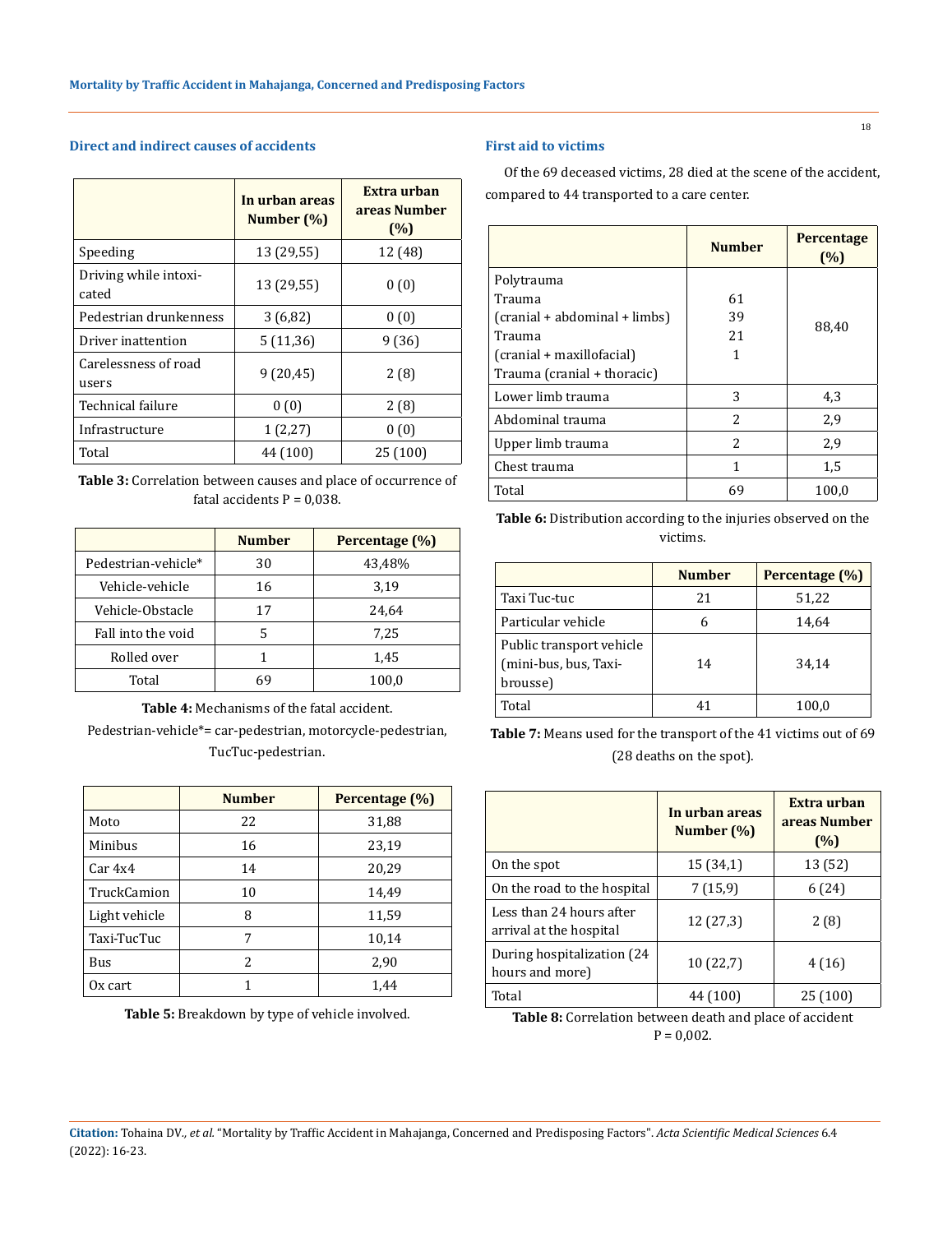# **Direct and indirect causes of accidents**

|                                | In urban areas<br>Number (%) | Extra urban<br>areas Number<br>(%) |
|--------------------------------|------------------------------|------------------------------------|
| Speeding                       | 13 (29,55)                   | 12 (48)                            |
| Driving while intoxi-<br>cated | 13 (29,55)                   | 0(0)                               |
| Pedestrian drunkenness         | 3(6,82)                      | 0(0)                               |
| Driver inattention             | 5(11,36)                     | 9 (36)                             |
| Carelessness of road<br>users  | 9(20, 45)                    | 2(8)                               |
| Technical failure              | 0(0)                         | 2(8)                               |
| Infrastructure                 | 1(2,27)                      | 0(0)                               |
| Total                          | 44 (100)                     | 25 (100)                           |

**Table 3:** Correlation between causes and place of occurrence of fatal accidents  $P = 0.038$ .

|                     | <b>Number</b> | Percentage (%) |
|---------------------|---------------|----------------|
| Pedestrian-vehicle* | 30            | 43,48%         |
| Vehicle-vehicle     | 16            | 3,19           |
| Vehicle-Obstacle    | 17            | 24,64          |
| Fall into the void  | 5             | 7,25           |
| Rolled over         |               | 1,45           |
| Total               | 69            | 100,0          |

**Table 4:** Mechanisms of the fatal accident.

Pedestrian-vehicle\*= car-pedestrian, motorcycle-pedestrian, TucTuc-pedestrian.

|               | <b>Number</b>            | Percentage (%) |
|---------------|--------------------------|----------------|
| Moto          | 22                       | 31,88          |
| Minibus       | 16                       | 23,19          |
| Car 4x4       | 14                       | 20,29          |
| TruckCamion   | 10                       | 14,49          |
| Light vehicle | 8                        | 11,59          |
| Taxi-TucTuc   | 7                        | 10,14          |
| <b>Bus</b>    | $\overline{\mathcal{L}}$ | 2,90           |
| Ox cart       |                          | 1,44           |

**Table 5:** Breakdown by type of vehicle involved.

# **First aid to victims**

Of the 69 deceased victims, 28 died at the scene of the accident, compared to 44 transported to a care center.

|                               | <b>Number</b>            | <b>Percentage</b><br>(%) |
|-------------------------------|--------------------------|--------------------------|
| Polytrauma                    |                          |                          |
| Trauma                        | 61                       |                          |
| (cranial + abdominal + limbs) | 39                       | 88,40                    |
| Trauma                        | 21                       |                          |
| (cranial + maxillofacial)     |                          |                          |
| Trauma (cranial + thoracic)   |                          |                          |
| Lower limb trauma             | 3                        | 4,3                      |
| Abdominal trauma              | $\overline{\mathcal{L}}$ | 2,9                      |
| Upper limb trauma             | $\overline{\mathcal{L}}$ | 2,9                      |
| Chest trauma                  | 1                        | 1,5                      |
| Total                         | 69                       | 100,0                    |

**Table 6:** Distribution according to the injuries observed on the victims.

|                                                               | <b>Number</b> | Percentage (%) |
|---------------------------------------------------------------|---------------|----------------|
| Taxi Tuc-tuc                                                  | 21            | 51,22          |
| Particular vehicle                                            | 6             | 14,64          |
| Public transport vehicle<br>(mini-bus, bus, Taxi-<br>brousse) | 14            | 34.14          |
| Total                                                         | 41            | 100.0          |

**Table 7:** Means used for the transport of the 41 victims out of 69 (28 deaths on the spot).

|                                                     | In urban areas<br>Number $(\%)$ | Extra urban<br>areas Number<br>(%) |
|-----------------------------------------------------|---------------------------------|------------------------------------|
| On the spot                                         | 15(34,1)                        | 13 (52)                            |
| On the road to the hospital                         | 7(15,9)                         | 6(24)                              |
| Less than 24 hours after<br>arrival at the hospital | 12(27,3)                        | 2(8)                               |
| During hospitalization (24)<br>hours and more)      | 10(22,7)                        | 4 (16)                             |
| Total                                               | 44 (100)                        | 25 (100)                           |

**Table 8:** Correlation between death and place of accident  $P = 0,002$ .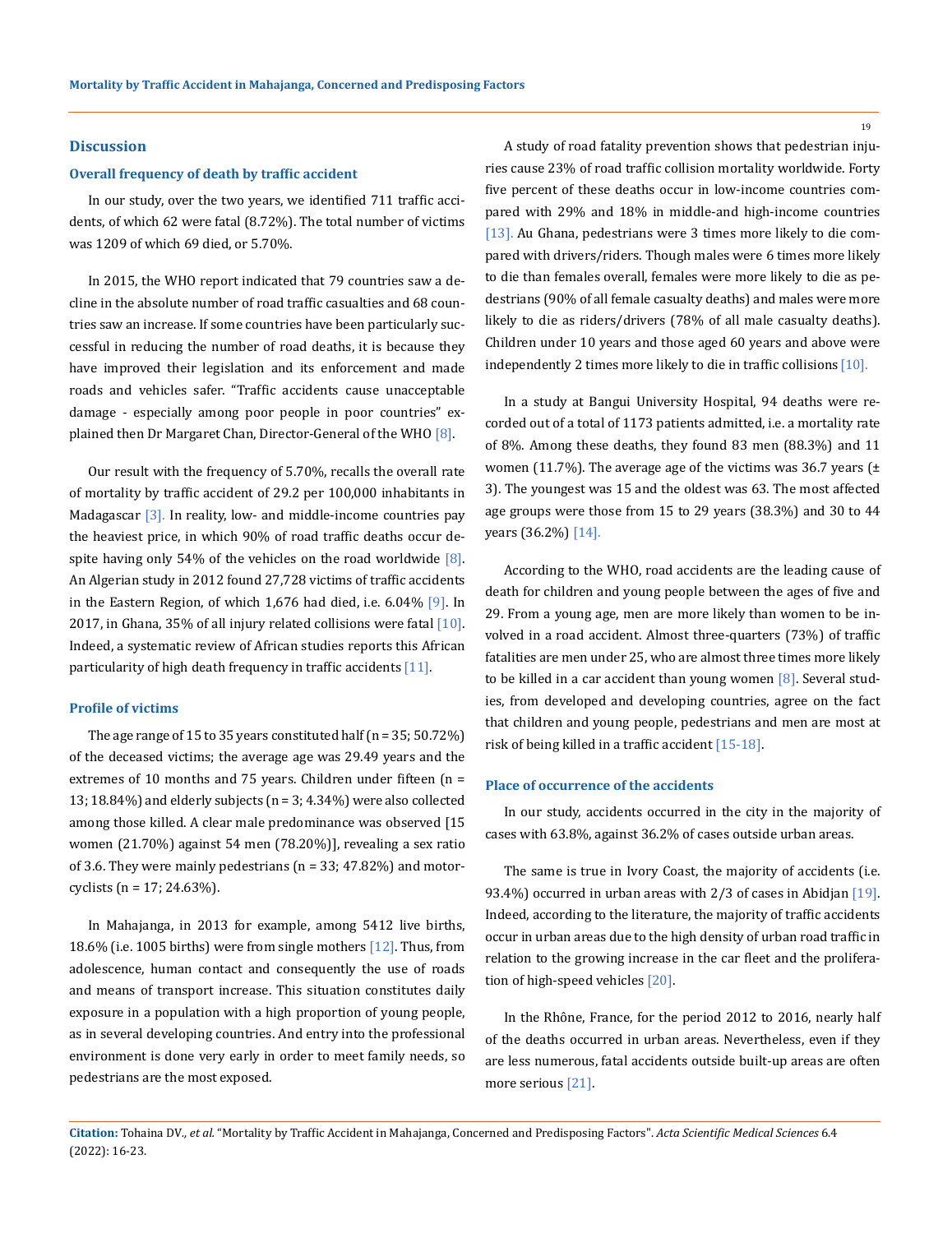#### **Discussion**

#### **Overall frequency of death by traffic accident**

In our study, over the two years, we identified 711 traffic accidents, of which 62 were fatal (8.72%). The total number of victims was 1209 of which 69 died, or 5.70%.

In 2015, the WHO report indicated that 79 countries saw a decline in the absolute number of road traffic casualties and 68 countries saw an increase. If some countries have been particularly successful in reducing the number of road deaths, it is because they have improved their legislation and its enforcement and made roads and vehicles safer. "Traffic accidents cause unacceptable damage - especially among poor people in poor countries" explained then Dr Margaret Chan, Director-General of the WHO [8].

Our result with the frequency of 5.70%, recalls the overall rate of mortality by traffic accident of 29.2 per 100,000 inhabitants in Madagascar [3]. In reality, low- and middle-income countries pay the heaviest price, in which 90% of road traffic deaths occur despite having only 54% of the vehicles on the road worldwide  $[8]$ . An Algerian study in 2012 found 27,728 victims of traffic accidents in the Eastern Region, of which 1,676 had died, i.e. 6.04% [9]. In 2017, in Ghana, 35% of all injury related collisions were fatal  $[10]$ . Indeed, a systematic review of African studies reports this African particularity of high death frequency in traffic accidents [11].

#### **Profile of victims**

The age range of 15 to 35 years constituted half (n = 35; 50.72%) of the deceased victims; the average age was 29.49 years and the extremes of 10 months and 75 years. Children under fifteen (n = 13; 18.84%) and elderly subjects (n = 3; 4.34%) were also collected among those killed. A clear male predominance was observed [15 women (21.70%) against 54 men (78.20%)], revealing a sex ratio of 3.6. They were mainly pedestrians (n = 33; 47.82%) and motorcyclists ( $n = 17$ ; 24.63%).

In Mahajanga, in 2013 for example, among 5412 live births, 18.6% (i.e. 1005 births) were from single mothers [12]. Thus, from adolescence, human contact and consequently the use of roads and means of transport increase. This situation constitutes daily exposure in a population with a high proportion of young people, as in several developing countries. And entry into the professional environment is done very early in order to meet family needs, so pedestrians are the most exposed.

A study of road fatality prevention shows that pedestrian injuries cause 23% of road traffic collision mortality worldwide. Forty five percent of these deaths occur in low-income countries compared with 29% and 18% in middle-and high-income countries [13]. Au Ghana, pedestrians were 3 times more likely to die compared with drivers/riders. Though males were 6 times more likely to die than females overall, females were more likely to die as pedestrians (90% of all female casualty deaths) and males were more likely to die as riders/drivers (78% of all male casualty deaths). Children under 10 years and those aged 60 years and above were independently 2 times more likely to die in traffic collisions [10].

In a study at Bangui University Hospital, 94 deaths were recorded out of a total of 1173 patients admitted, i.e. a mortality rate of 8%. Among these deaths, they found 83 men (88.3%) and 11 women (11.7%). The average age of the victims was 36.7 years ( $\pm$ 3). The youngest was 15 and the oldest was 63. The most affected age groups were those from 15 to 29 years (38.3%) and 30 to 44 years (36.2%) [14].

According to the WHO, road accidents are the leading cause of death for children and young people between the ages of five and 29. From a young age, men are more likely than women to be involved in a road accident. Almost three-quarters (73%) of traffic fatalities are men under 25, who are almost three times more likely to be killed in a car accident than young women  $[8]$ . Several studies, from developed and developing countries, agree on the fact that children and young people, pedestrians and men are most at risk of being killed in a traffic accident [15-18].

#### **Place of occurrence of the accidents**

In our study, accidents occurred in the city in the majority of cases with 63.8%, against 36.2% of cases outside urban areas.

The same is true in Ivory Coast, the majority of accidents (i.e. 93.4%) occurred in urban areas with 2/3 of cases in Abidjan [19]. Indeed, according to the literature, the majority of traffic accidents occur in urban areas due to the high density of urban road traffic in relation to the growing increase in the car fleet and the proliferation of high-speed vehicles [20].

In the Rhône, France, for the period 2012 to 2016, nearly half of the deaths occurred in urban areas. Nevertheless, even if they are less numerous, fatal accidents outside built-up areas are often more serious [21].

**Citation:** Tohaina DV*., et al.* "Mortality by Traffic Accident in Mahajanga, Concerned and Predisposing Factors". *Acta Scientific Medical Sciences* 6.4 (2022): 16-23.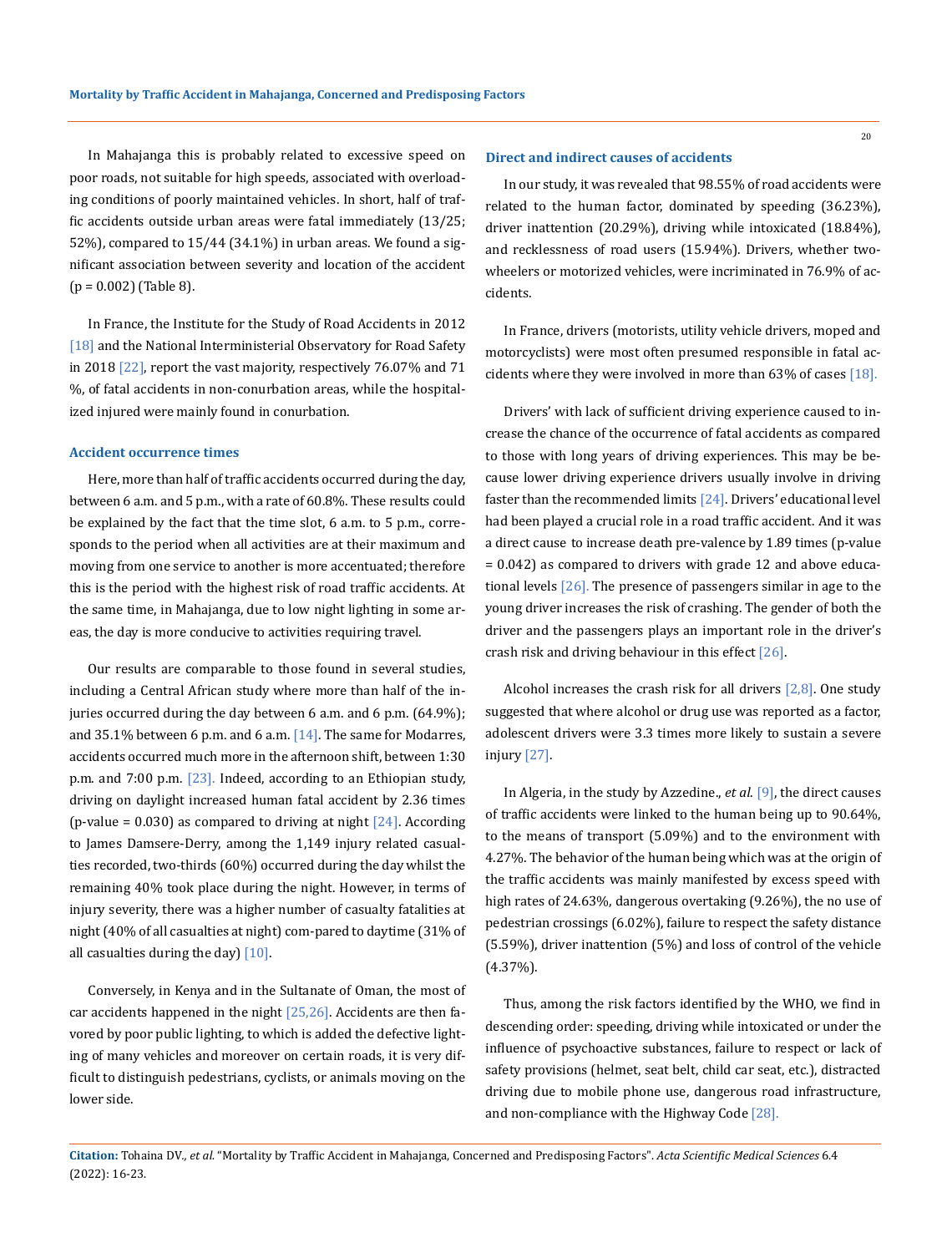In Mahajanga this is probably related to excessive speed on poor roads, not suitable for high speeds, associated with overloading conditions of poorly maintained vehicles. In short, half of traffic accidents outside urban areas were fatal immediately (13/25; 52%), compared to 15/44 (34.1%) in urban areas. We found a significant association between severity and location of the accident  $(p = 0.002)$  (Table 8).

In France, the Institute for the Study of Road Accidents in 2012 [18] and the National Interministerial Observatory for Road Safety in 2018 [22], report the vast majority, respectively 76.07% and 71 %, of fatal accidents in non-conurbation areas, while the hospitalized injured were mainly found in conurbation.

#### **Accident occurrence times**

Here, more than half of traffic accidents occurred during the day, between 6 a.m. and 5 p.m., with a rate of 60.8%. These results could be explained by the fact that the time slot, 6 a.m. to 5 p.m., corresponds to the period when all activities are at their maximum and moving from one service to another is more accentuated; therefore this is the period with the highest risk of road traffic accidents. At the same time, in Mahajanga, due to low night lighting in some areas, the day is more conducive to activities requiring travel.

Our results are comparable to those found in several studies, including a Central African study where more than half of the injuries occurred during the day between 6 a.m. and 6 p.m. (64.9%); and 35.1% between 6 p.m. and 6 a.m. [14]. The same for Modarres, accidents occurred much more in the afternoon shift, between 1:30 p.m. and 7:00 p.m. [23]. Indeed, according to an Ethiopian study, driving on daylight increased human fatal accident by 2.36 times (p-value =  $0.030$ ) as compared to driving at night [24]. According to James Damsere-Derry, among the 1,149 injury related casualties recorded, two-thirds (60%) occurred during the day whilst the remaining 40% took place during the night. However, in terms of injury severity, there was a higher number of casualty fatalities at night (40% of all casualties at night) com-pared to daytime (31% of all casualties during the day) [10].

Conversely, in Kenya and in the Sultanate of Oman, the most of car accidents happened in the night [25,26]. Accidents are then favored by poor public lighting, to which is added the defective lighting of many vehicles and moreover on certain roads, it is very difficult to distinguish pedestrians, cyclists, or animals moving on the lower side.

#### **Direct and indirect causes of accidents**

In our study, it was revealed that 98.55% of road accidents were related to the human factor, dominated by speeding (36.23%), driver inattention (20.29%), driving while intoxicated (18.84%), and recklessness of road users (15.94%). Drivers, whether twowheelers or motorized vehicles, were incriminated in 76.9% of accidents.

In France, drivers (motorists, utility vehicle drivers, moped and motorcyclists) were most often presumed responsible in fatal accidents where they were involved in more than 63% of cases [18].

Drivers' with lack of sufficient driving experience caused to increase the chance of the occurrence of fatal accidents as compared to those with long years of driving experiences. This may be because lower driving experience drivers usually involve in driving faster than the recommended limits [24]. Drivers' educational level had been played a crucial role in a road traffic accident. And it was a direct cause to increase death pre-valence by 1.89 times (p-value = 0.042) as compared to drivers with grade 12 and above educational levels [26]. The presence of passengers similar in age to the young driver increases the risk of crashing. The gender of both the driver and the passengers plays an important role in the driver's crash risk and driving behaviour in this effect [26].

Alcohol increases the crash risk for all drivers  $[2,8]$ . One study suggested that where alcohol or drug use was reported as a factor, adolescent drivers were 3.3 times more likely to sustain a severe injury [27].

In Algeria, in the study by Azzedine., *et al*. [9], the direct causes of traffic accidents were linked to the human being up to 90.64%, to the means of transport (5.09%) and to the environment with 4.27%. The behavior of the human being which was at the origin of the traffic accidents was mainly manifested by excess speed with high rates of 24.63%, dangerous overtaking (9.26%), the no use of pedestrian crossings (6.02%), failure to respect the safety distance (5.59%), driver inattention (5%) and loss of control of the vehicle (4.37%).

Thus, among the risk factors identified by the WHO, we find in descending order: speeding, driving while intoxicated or under the influence of psychoactive substances, failure to respect or lack of safety provisions (helmet, seat belt, child car seat, etc.), distracted driving due to mobile phone use, dangerous road infrastructure, and non-compliance with the Highway Code [28].

**Citation:** Tohaina DV*., et al.* "Mortality by Traffic Accident in Mahajanga, Concerned and Predisposing Factors". *Acta Scientific Medical Sciences* 6.4 (2022): 16-23.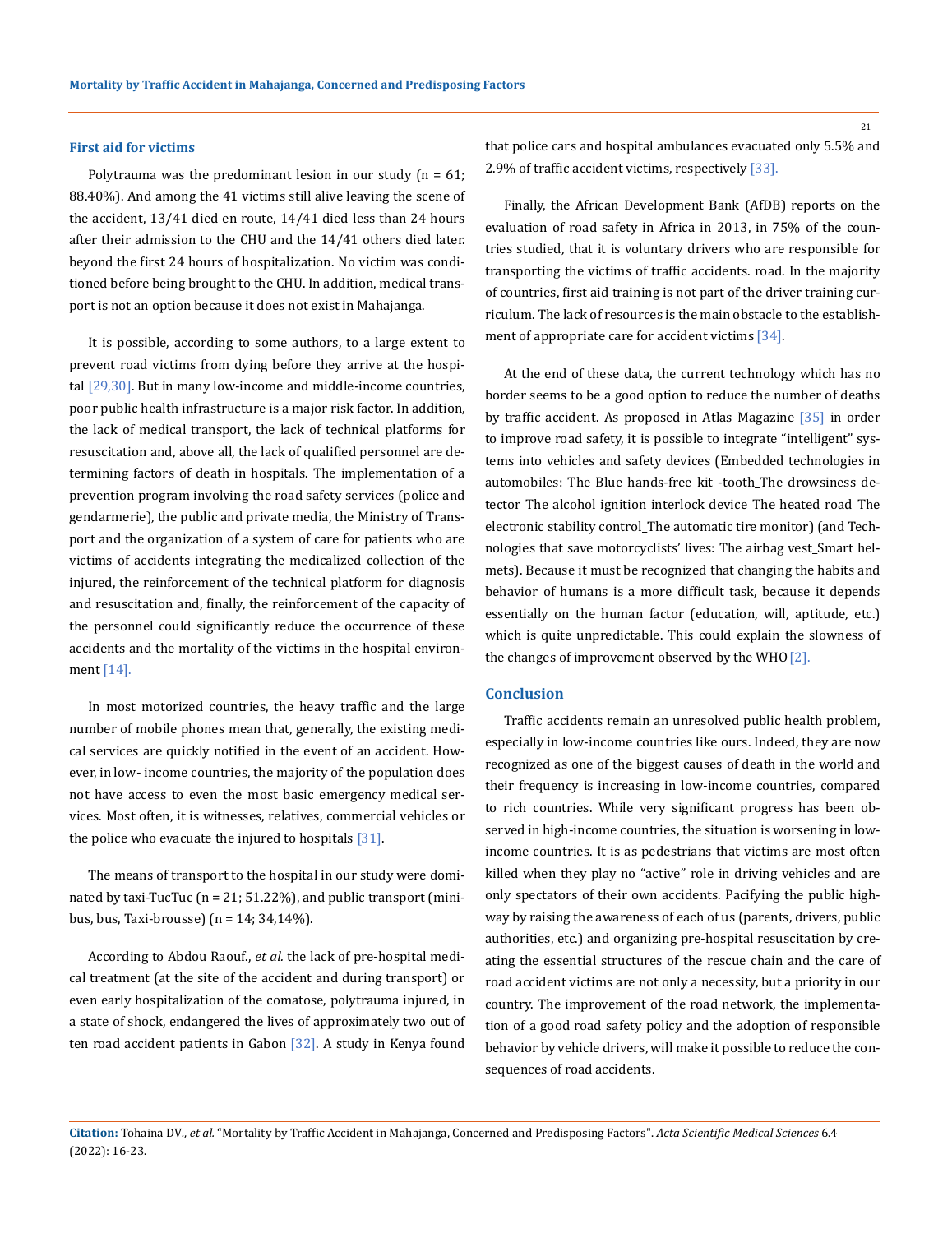#### **First aid for victims**

Polytrauma was the predominant lesion in our study  $(n = 61;$ 88.40%). And among the 41 victims still alive leaving the scene of the accident, 13/41 died en route, 14/41 died less than 24 hours after their admission to the CHU and the 14/41 others died later. beyond the first 24 hours of hospitalization. No victim was conditioned before being brought to the CHU. In addition, medical transport is not an option because it does not exist in Mahajanga.

It is possible, according to some authors, to a large extent to prevent road victims from dying before they arrive at the hospital  $[29,30]$ . But in many low-income and middle-income countries, poor public health infrastructure is a major risk factor. In addition, the lack of medical transport, the lack of technical platforms for resuscitation and, above all, the lack of qualified personnel are determining factors of death in hospitals. The implementation of a prevention program involving the road safety services (police and gendarmerie), the public and private media, the Ministry of Transport and the organization of a system of care for patients who are victims of accidents integrating the medicalized collection of the injured, the reinforcement of the technical platform for diagnosis and resuscitation and, finally, the reinforcement of the capacity of the personnel could significantly reduce the occurrence of these accidents and the mortality of the victims in the hospital environment [14].

In most motorized countries, the heavy traffic and the large number of mobile phones mean that, generally, the existing medical services are quickly notified in the event of an accident. However, in low- income countries, the majority of the population does not have access to even the most basic emergency medical services. Most often, it is witnesses, relatives, commercial vehicles or the police who evacuate the injured to hospitals  $[31]$ .

The means of transport to the hospital in our study were dominated by taxi-TucTuc (n = 21; 51.22%), and public transport (minibus, bus, Taxi-brousse) (n = 14; 34,14%).

According to Abdou Raouf., *et al.* the lack of pre-hospital medical treatment (at the site of the accident and during transport) or even early hospitalization of the comatose, polytrauma injured, in a state of shock, endangered the lives of approximately two out of ten road accident patients in Gabon [32]. A study in Kenya found

that police cars and hospital ambulances evacuated only 5.5% and 2.9% of traffic accident victims, respectively [33].

Finally, the African Development Bank (AfDB) reports on the evaluation of road safety in Africa in 2013, in 75% of the countries studied, that it is voluntary drivers who are responsible for transporting the victims of traffic accidents. road. In the majority of countries, first aid training is not part of the driver training curriculum. The lack of resources is the main obstacle to the establishment of appropriate care for accident victims [34].

At the end of these data, the current technology which has no border seems to be a good option to reduce the number of deaths by traffic accident. As proposed in Atlas Magazine [35] in order to improve road safety, it is possible to integrate "intelligent" systems into vehicles and safety devices (Embedded technologies in automobiles: The Blue hands-free kit -tooth\_The drowsiness detector\_The alcohol ignition interlock device\_The heated road\_The electronic stability control\_The automatic tire monitor) (and Technologies that save motorcyclists' lives: The airbag vest\_Smart helmets). Because it must be recognized that changing the habits and behavior of humans is a more difficult task, because it depends essentially on the human factor (education, will, aptitude, etc.) which is quite unpredictable. This could explain the slowness of the changes of improvement observed by the WHO [2].

## **Conclusion**

Traffic accidents remain an unresolved public health problem, especially in low-income countries like ours. Indeed, they are now recognized as one of the biggest causes of death in the world and their frequency is increasing in low-income countries, compared to rich countries. While very significant progress has been observed in high-income countries, the situation is worsening in lowincome countries. It is as pedestrians that victims are most often killed when they play no "active" role in driving vehicles and are only spectators of their own accidents. Pacifying the public highway by raising the awareness of each of us (parents, drivers, public authorities, etc.) and organizing pre-hospital resuscitation by creating the essential structures of the rescue chain and the care of road accident victims are not only a necessity, but a priority in our country. The improvement of the road network, the implementation of a good road safety policy and the adoption of responsible behavior by vehicle drivers, will make it possible to reduce the consequences of road accidents.

**Citation:** Tohaina DV*., et al.* "Mortality by Traffic Accident in Mahajanga, Concerned and Predisposing Factors". *Acta Scientific Medical Sciences* 6.4 (2022): 16-23.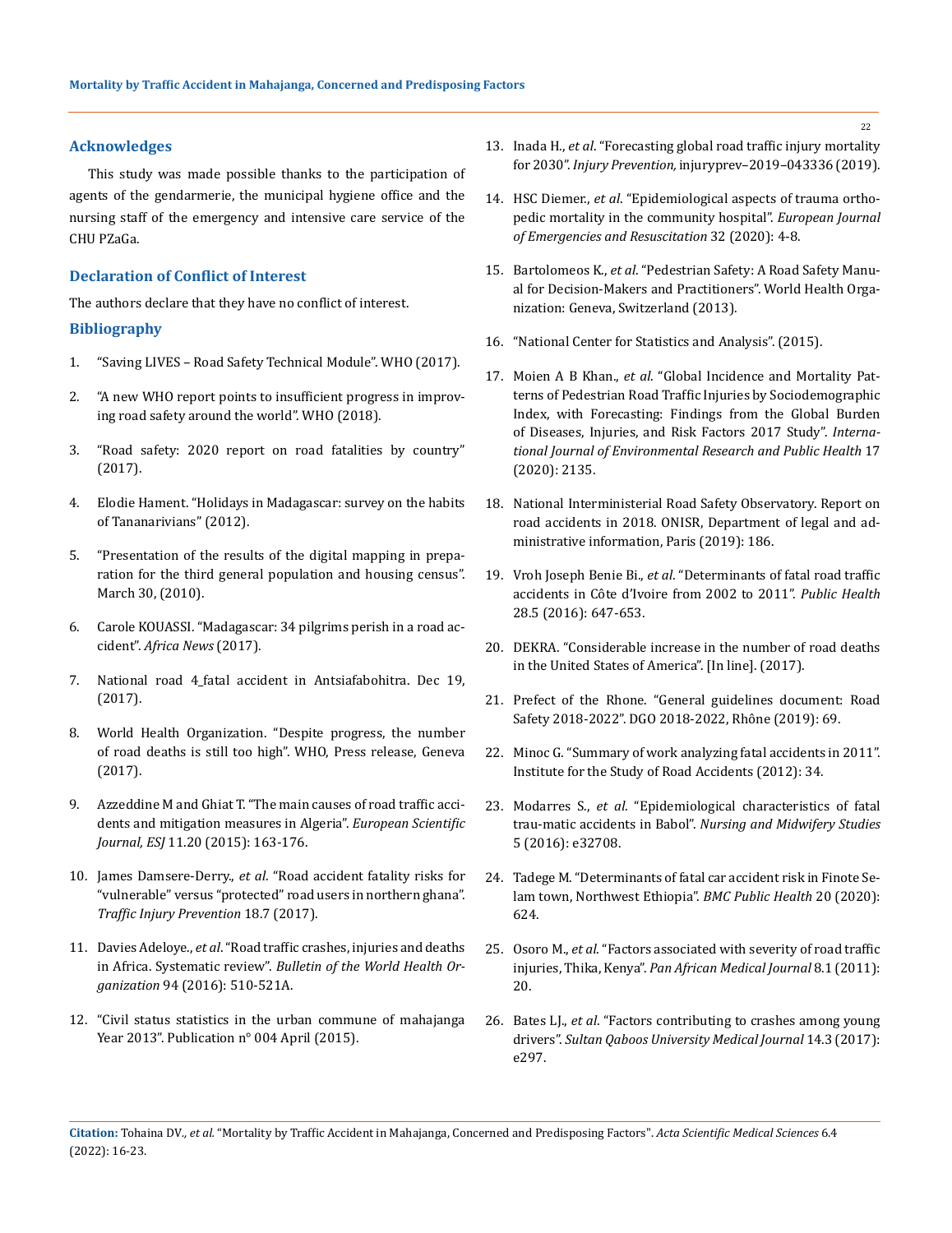### **Acknowledges**

This study was made possible thanks to the participation of agents of the gendarmerie, the municipal hygiene office and the nursing staff of the emergency and intensive care service of the CHU PZaGa.

## **Declaration of Conflict of Interest**

The authors declare that they have no conflict of interest.

### **Bibliography**

- 1. "Saving LIVES Road Safety Technical Module". WHO (2017).
- 2. ["A new WHO report points to insufficient progress in improv](https://www.who.int/fr/news/item/07-12-2018-new-who-report-highlights-insufficient-)[ing road safety around the world". WHO \(2018\).](https://www.who.int/fr/news/item/07-12-2018-new-who-report-highlights-insufficient-)
- 3. ["Road safety: 2020 report on road fatalities by country"](https://www.atlas-mag.net/article/securite-routiere-en-2017)  [\(2017\).](https://www.atlas-mag.net/article/securite-routiere-en-2017)
- 4. [Elodie Hament. "Holidays in Madagascar: survey on the habits](https://stileex.xyz/vacances-madagascar/)  [of Tananarivians" \(2012\).](https://stileex.xyz/vacances-madagascar/)
- 5. ["Presentation of the results of the digital mapping in prepa](https://www.instat.mg/documents/upload/main/INSTAT_Cartographie-30-03-2010.pdf)[ration for the third general population and housing census".](https://www.instat.mg/documents/upload/main/INSTAT_Cartographie-30-03-2010.pdf)  [March 30, \(2010\).](https://www.instat.mg/documents/upload/main/INSTAT_Cartographie-30-03-2010.pdf)
- 6. Carole KOUASSI. "Madagascar: 34 pilgrims perish in a road accident". *Africa News* (2017).
- 7. National road 4\_fatal accident in Antsiafabohitra. Dec 19, (2017).
- 8. [World Health Organization. "Despite progress, the number](https://www.who.int/en/news/item/19-10-2015-despite-progress-road-traffic-)  [of road deaths is still too high". WHO, Press release, Geneva](https://www.who.int/en/news/item/19-10-2015-despite-progress-road-traffic-)  [\(2017\).](https://www.who.int/en/news/item/19-10-2015-despite-progress-road-traffic-)
- 9. Azzeddine M and Ghiat T. "The main causes of road traffic accidents and mitigation measures in Algeria". *European Scientific Journal, ESJ* 11.20 (2015): 163-176.
- 10. James Damsere-Derry., *et al*[. "Road accident fatality risks for](https://www.tandfonline.com/doi/abs/10.1080/15389588.2017.1302083?journalCode=gcpi20)  ["vulnerable" versus "protected" road users in northern ghana".](https://www.tandfonline.com/doi/abs/10.1080/15389588.2017.1302083?journalCode=gcpi20)  *[Traffic Injury Prevention](https://www.tandfonline.com/doi/abs/10.1080/15389588.2017.1302083?journalCode=gcpi20)* 18.7 (2017).
- 11. Davies Adeloye., *et al*[. "Road traffic crashes, injuries and deaths](https://dx.doi.org/10.2471/BLT.15.163121)  in Africa. Systematic review". *[Bulletin of the World Health Or](https://dx.doi.org/10.2471/BLT.15.163121)ganization* [94 \(2016\): 510-521A.](https://dx.doi.org/10.2471/BLT.15.163121)
- 12. ["Civil status statistics in the urban commune of mahajanga](https://www.instat.mg/documents/upload/main/INSTAT_Boeny_EtatsCivils_04_2013_04-%202015.pdf)  [Year 2013". Publication n° 004 April \(2015\).](https://www.instat.mg/documents/upload/main/INSTAT_Boeny_EtatsCivils_04_2013_04-%202015.pdf)
- 13. Inada H., *et al*[. "Forecasting global road traffic injury mortality](https://www.researchgate.net/publication/335072441_Forecasting_global_road_traffic_injury_%20mortality_for_2030)  for 2030". *Injury Prevention,* [injuryprev–2019–043336 \(2019\).](https://www.researchgate.net/publication/335072441_Forecasting_global_road_traffic_injury_%20mortality_for_2030)
- 14. HSC Diemer., *et al*[. "Epidemiological aspects of trauma ortho](https://doi.org/10.1016/j.jeurea.2019.10.002)[pedic mortality in the community hospital".](https://doi.org/10.1016/j.jeurea.2019.10.002) *European Journal [of Emergencies and Resuscitation](https://doi.org/10.1016/j.jeurea.2019.10.002)* 32 (2020): 4-8.
- 15. Bartolomeos K., *et al*. "Pedestrian Safety: A Road Safety Manual for Decision-Makers and Practitioners". World Health Organization: Geneva, Switzerland (2013).
- 16. ["National Center for Statistics and Analysis". \(2015\).](https://crashstats.nhtsa.dot.gov/Api/Public/ViewPublication/812196)
- 17. Moien A B Khan., *et al*[. "Global Incidence and Mortality Pat](https://www.mdpi.com/1660-4601/17/6/2135)[terns of Pedestrian Road Traffic Injuries by Sociodemographic](https://www.mdpi.com/1660-4601/17/6/2135)  [Index, with Forecasting: Findings from the Global Burden](https://www.mdpi.com/1660-4601/17/6/2135)  [of Diseases, Injuries, and Risk Factors 2017 Study".](https://www.mdpi.com/1660-4601/17/6/2135) *Interna[tional Journal of Environmental Research and Public Health](https://www.mdpi.com/1660-4601/17/6/2135)* 17 [\(2020\): 2135.](https://www.mdpi.com/1660-4601/17/6/2135)
- 18. National Interministerial Road Safety Observatory. Report on road accidents in 2018. ONISR, Department of legal and administrative information, Paris (2019): 186.
- 19. Vroh Joseph Benie Bi., *et al*[. "Determinants of fatal road traffic](https://pubmed.ncbi.nlm.nih.gov/28155741/)  [accidents in Côte d'Ivoire from 2002 to 2011".](https://pubmed.ncbi.nlm.nih.gov/28155741/) *Public Health* [28.5 \(2016\): 647-653.](https://pubmed.ncbi.nlm.nih.gov/28155741/)
- 20. DEKRA. "Considerable increase in the number of road deaths in the United States of America". [In line]. (2017).
- 21. [Prefect of the Rhone. "General guidelines document: Road](https://www.rhone.gouv.fr/content/download/30283/172205/file/Projet%20DGO%202018%25)  [Safety 2018-2022". DGO 2018-2022, Rhône \(2019\): 69.](https://www.rhone.gouv.fr/content/download/30283/172205/file/Projet%20DGO%202018%25)
- 22. Minoc G. "Summary of work analyzing fatal accidents in 2011". Institute for the Study of Road Accidents (2012): 34.
- 23. Modarres S., *et al*[. "Epidemiological characteristics of fatal](https://www.ncbi.nlm.nih.gov/pmc/articles/PMC4771289/)  trau-matic accidents in Babol". *[Nursing and Midwifery Studies](https://www.ncbi.nlm.nih.gov/pmc/articles/PMC4771289/)* [5 \(2016\): e32708.](https://www.ncbi.nlm.nih.gov/pmc/articles/PMC4771289/)
- 24. [Tadege M. "Determinants of fatal car accident risk in Finote Se](https://doi.org/10.1186/s12889-020-08760-z)[lam town, Northwest Ethiopia".](https://doi.org/10.1186/s12889-020-08760-z) *BMC Public Health* 20 (2020): [624.](https://doi.org/10.1186/s12889-020-08760-z)
- 25. Osoro M., *et al*. "Factors associated with severity of road traffic injuries, Thika, Kenya". *Pan African Medical Journal* 8.1 (2011): 20.
- 26. Bates LJ., *et al*. "Factors contributing to crashes among young drivers". *Sultan Qaboos University Medical Journal* 14.3 (2017): e297.